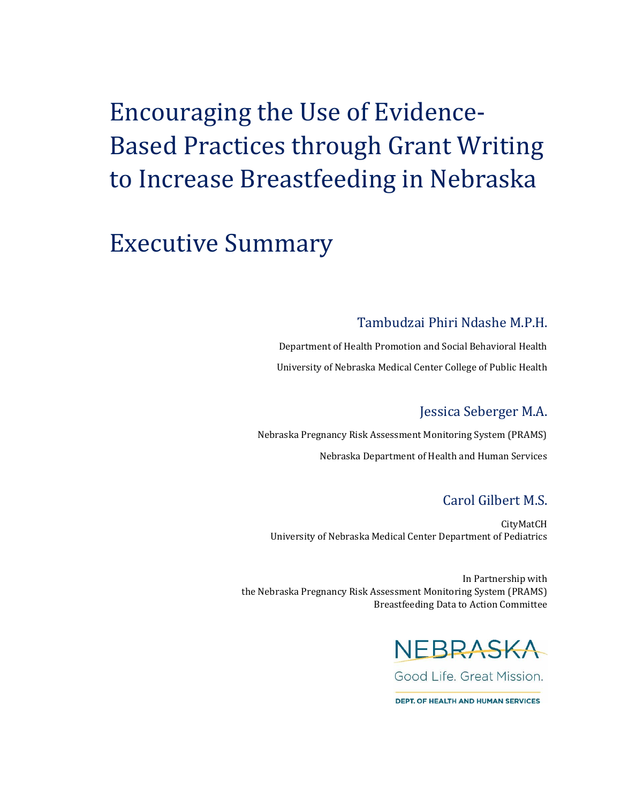# Encouraging the Use of Evidence-Based Practices through Grant Writing to Increase Breastfeeding in Nebraska

## Executive Summary

#### Tambudzai Phiri Ndashe M.P.H.

Department of Health Promotion and Social Behavioral Health University of Nebraska Medical Center College of Public Health

### Jessica Seberger M.A.

Nebraska Pregnancy Risk Assessment Monitoring System (PRAMS) Nebraska Department of Health and Human Services

#### Carol Gilbert M.S.

CityMatCH University of Nebraska Medical Center Department of Pediatrics

In Partnership with the Nebraska Pregnancy Risk Assessment Monitoring System (PRAMS) Breastfeeding Data to Action Committee



**DEPT, OF HEALTH AND HUMAN SERVICES**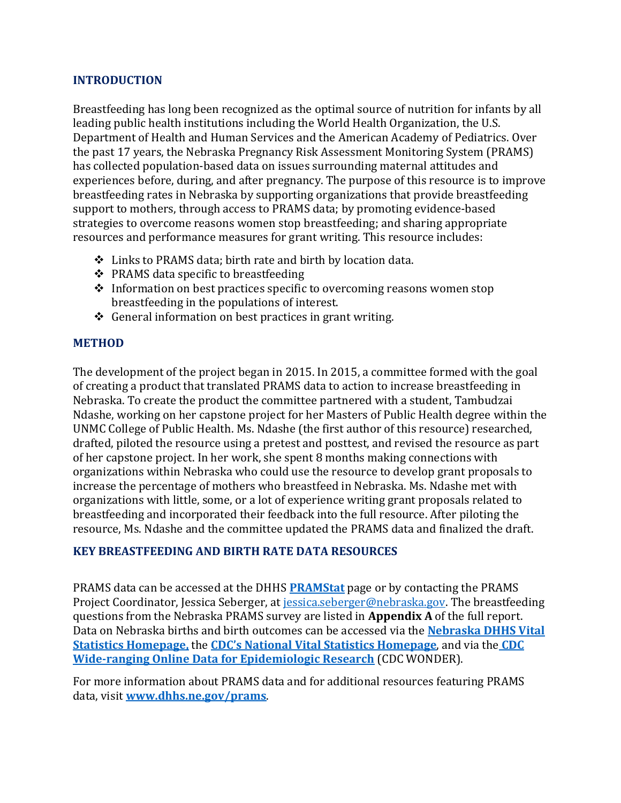#### **INTRODUCTION**

Breastfeeding has long been recognized as the optimal source of nutrition for infants by all leading public health institutions including the World Health Organization, the U.S. Department of Health and Human Services and the American Academy of Pediatrics. Over the past 17 years, the Nebraska Pregnancy Risk Assessment Monitoring System (PRAMS) has collected population-based data on issues surrounding maternal attitudes and experiences before, during, and after pregnancy. The purpose of this resource is to improve breastfeeding rates in Nebraska by supporting organizations that provide breastfeeding support to mothers, through access to PRAMS data; by promoting evidence-based strategies to overcome reasons women stop breastfeeding; and sharing appropriate resources and performance measures for grant writing. This resource includes:

- Links to PRAMS data; birth rate and birth by location data.
- ❖ PRAMS data specific to breastfeeding
- $\triangle$  Information on best practices specific to overcoming reasons women stop breastfeeding in the populations of interest.
- $\triangle$  General information on best practices in grant writing.

#### **METHOD**

The development of the project began in 2015. In 2015, a committee formed with the goal of creating a product that translated PRAMS data to action to increase breastfeeding in Nebraska. To create the product the committee partnered with a student, Tambudzai Ndashe, working on her capstone project for her Masters of Public Health degree within the UNMC College of Public Health. Ms. Ndashe (the first author of this resource) researched, drafted, piloted the resource using a pretest and posttest, and revised the resource as part of her capstone project. In her work, she spent 8 months making connections with organizations within Nebraska who could use the resource to develop grant proposals to increase the percentage of mothers who breastfeed in Nebraska. Ms. Ndashe met with organizations with little, some, or a lot of experience writing grant proposals related to breastfeeding and incorporated their feedback into the full resource. After piloting the resource, Ms. Ndashe and the committee updated the PRAMS data and finalized the draft.

#### **KEY BREASTFEEDING AND BIRTH RATE DATA RESOURCES**

PRAMS data can be accessed at the DHHS **[PRAMStat](http://dhhs.ne.gov/publichealth/Pages/prams_accessdata.aspx)** page or by contacting the PRAMS Project Coordinator, Jessica Seberger, at [jessica.seberger@nebraska.gov.](mailto:jessica.seberger@nebraska.gov) The breastfeeding questions from the Nebraska PRAMS survey are listed in **Appendix A** of the full report. Data on Nebraska births and birth outcomes can be accessed via the **[Nebraska DHHS Vital](http://dhhs.ne.gov/publichealth/pages/ced_vs.aspx)  [Statistics Homepage,](http://dhhs.ne.gov/publichealth/pages/ced_vs.aspx)** the **CDC's National [Vital Statistics Homepage](http://www.cdc.gov/nchs/nvss/index.htm)**, and via the **[CDC](https://wonder.cdc.gov/)  [Wide-ranging Online Data for Epidemiologic Research](https://wonder.cdc.gov/)** (CDC WONDER).

For more information about PRAMS data and for additional resources featuring PRAMS data, visit **[www.dhhs.ne.gov/prams](http://www.dhhs.ne.gov/prams)**.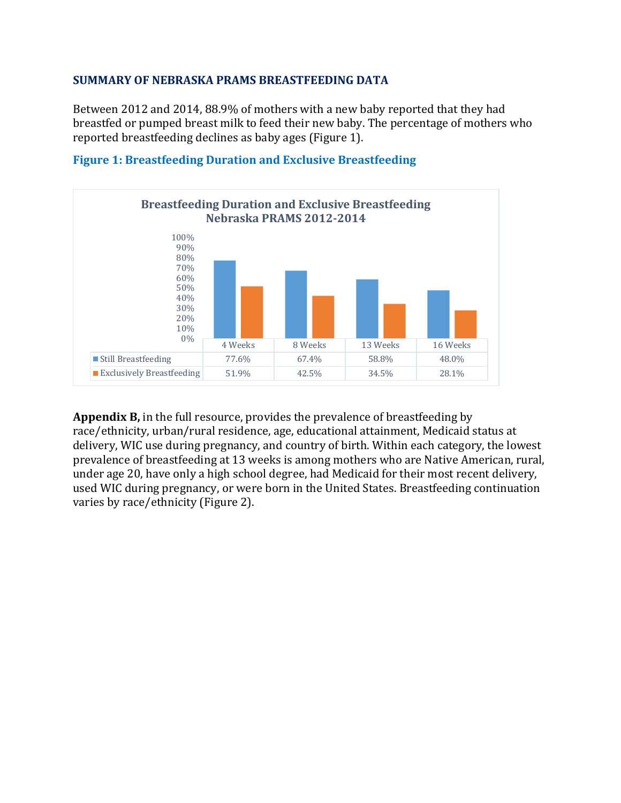#### **SUMMARY OF NEBRASKA PRAMS BREASTFEEDING DATA**

Between 2012 and 2014, 88.9% of mothers with a new baby reported that they had breastfed or pumped breast milk to feed their new baby. The percentage of mothers who reported breastfeeding declines as baby ages (Figure 1).



**Figure 1: Breastfeeding Duration and Exclusive Breastfeeding**

**Appendix B,** in the full resource, provides the prevalence of breastfeeding by race/ethnicity, urban/rural residence, age, educational attainment, Medicaid status at delivery, WIC use during pregnancy, and country of birth. Within each category, the lowest prevalence of breastfeeding at 13 weeks is among mothers who are Native American, rural, under age 20, have only a high school degree, had Medicaid for their most recent delivery, used WIC during pregnancy, or were born in the United States. Breastfeeding continuation varies by race/ethnicity (Figure 2).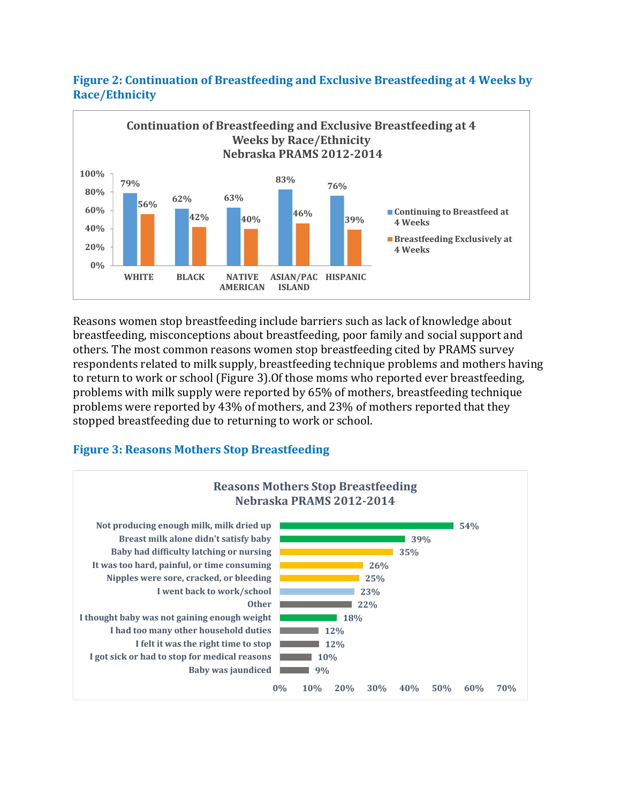

**Figure 2: Continuation of Breastfeeding and Exclusive Breastfeeding at 4 Weeks by Race/Ethnicity**

Reasons women stop breastfeeding include barriers such as lack of knowledge about breastfeeding, misconceptions about breastfeeding, poor family and social support and others. The most common reasons women stop breastfeeding cited by PRAMS survey respondents related to milk supply, breastfeeding technique problems and mothers having to return to work or school (Figure 3).Of those moms who reported ever breastfeeding, problems with milk supply were reported by 65% of mothers, breastfeeding technique problems were reported by 43% of mothers, and 23% of mothers reported that they stopped breastfeeding due to returning to work or school.

#### **Figure 3: Reasons Mothers Stop Breastfeeding**

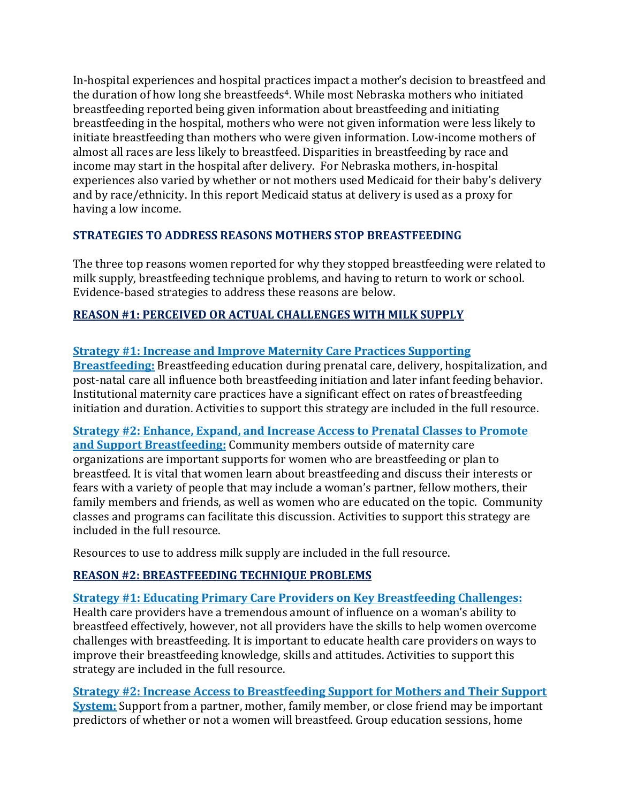In-hospital experiences and hospital practices impact a mother's decision to breastfeed and the duration of how long she breastfeeds<sup>4</sup>. While most Nebraska mothers who initiated breastfeeding reported being given information about breastfeeding and initiating breastfeeding in the hospital, mothers who were not given information were less likely to initiate breastfeeding than mothers who were given information. Low-income mothers of almost all races are less likely to breastfeed. Disparities in breastfeeding by race and income may start in the hospital after delivery. For Nebraska mothers, in-hospital experiences also varied by whether or not mothers used Medicaid for their baby's delivery and by race/ethnicity. In this report Medicaid status at delivery is used as a proxy for having a low income.

#### **STRATEGIES TO ADDRESS REASONS MOTHERS STOP BREASTFEEDING**

The three top reasons women reported for why they stopped breastfeeding were related to milk supply, breastfeeding technique problems, and having to return to work or school. Evidence-based strategies to address these reasons are below.

#### **REASON #1: PERCEIVED OR ACTUAL CHALLENGES WITH MILK SUPPLY**

#### **Strategy #1: Increase and Improve Maternity Care Practices Supporting**

**Breastfeeding:** Breastfeeding education during prenatal care, delivery, hospitalization, and post-natal care all influence both breastfeeding initiation and later infant feeding behavior. Institutional maternity care practices have a significant effect on rates of breastfeeding initiation and duration. Activities to support this strategy are included in the full resource.

#### **Strategy #2: Enhance, Expand, and Increase Access to Prenatal Classes to Promote and Support Breastfeeding:** Community members outside of maternity care organizations are important supports for women who are breastfeeding or plan to breastfeed. It is vital that women learn about breastfeeding and discuss their interests or fears with a variety of people that may include a woman's partner, fellow mothers, their family members and friends, as well as women who are educated on the topic. Community classes and programs can facilitate this discussion. Activities to support this strategy are included in the full resource.

Resources to use to address milk supply are included in the full resource.

#### **REASON #2: BREASTFEEDING TECHNIQUE PROBLEMS**

## **Strategy #1: Educating Primary Care Providers on Key Breastfeeding Challenges:**

Health care providers have a tremendous amount of influence on a woman's ability to breastfeed effectively, however, not all providers have the skills to help women overcome challenges with breastfeeding. It is important to educate health care providers on ways to improve their breastfeeding knowledge, skills and attitudes. Activities to support this strategy are included in the full resource.

**Strategy #2: Increase Access to Breastfeeding Support for Mothers and Their Support System:** Support from a partner, mother, family member, or close friend may be important predictors of whether or not a women will breastfeed. Group education sessions, home